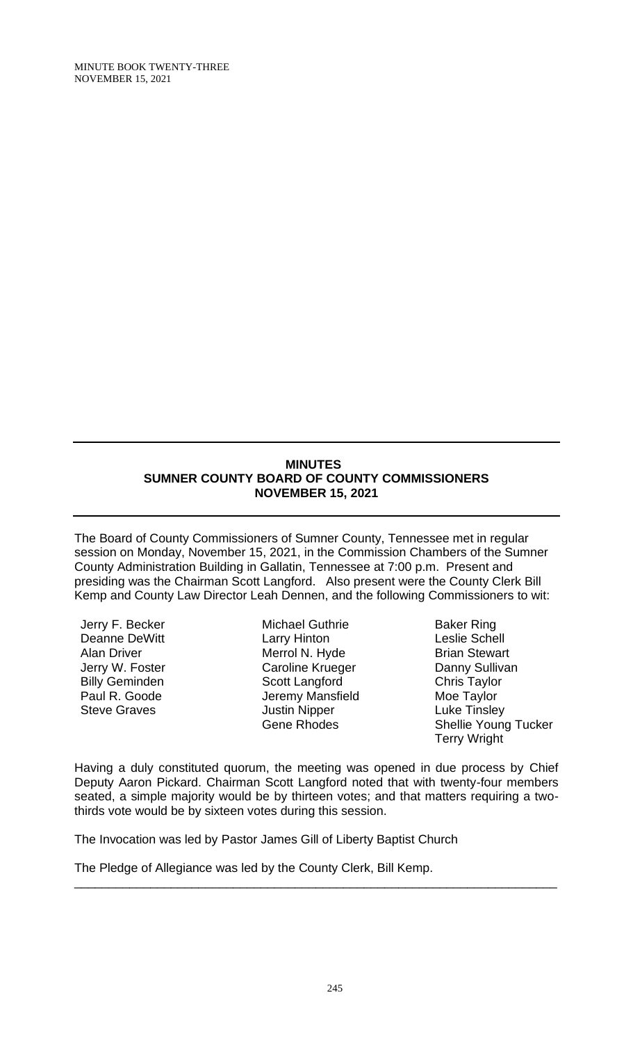# **MINUTES SUMNER COUNTY BOARD OF COUNTY COMMISSIONERS NOVEMBER 15, 2021**

The Board of County Commissioners of Sumner County, Tennessee met in regular session on Monday, November 15, 2021, in the Commission Chambers of the Sumner County Administration Building in Gallatin, Tennessee at 7:00 p.m. Present and presiding was the Chairman Scott Langford. Also present were the County Clerk Bill Kemp and County Law Director Leah Dennen, and the following Commissioners to wit:

Jerry F. Becker Deanne DeWitt Alan Driver Jerry W. Foster Billy Geminden Paul R. Goode Steve Graves

Michael Guthrie Larry Hinton Merrol N. Hyde Caroline Krueger Scott Langford Jeremy Mansfield Justin Nipper Gene Rhodes

Baker Ring Leslie Schell Brian Stewart Danny Sullivan Chris Taylor Moe Taylor Luke Tinsley Shellie Young Tucker Terry Wright

Having a duly constituted quorum, the meeting was opened in due process by Chief Deputy Aaron Pickard. Chairman Scott Langford noted that with twenty-four members seated, a simple majority would be by thirteen votes; and that matters requiring a twothirds vote would be by sixteen votes during this session.

\_\_\_\_\_\_\_\_\_\_\_\_\_\_\_\_\_\_\_\_\_\_\_\_\_\_\_\_\_\_\_\_\_\_\_\_\_\_\_\_\_\_\_\_\_\_\_\_\_\_\_\_\_\_\_\_\_\_\_\_\_\_\_\_\_\_\_\_\_\_

The Invocation was led by Pastor James Gill of Liberty Baptist Church

The Pledge of Allegiance was led by the County Clerk, Bill Kemp.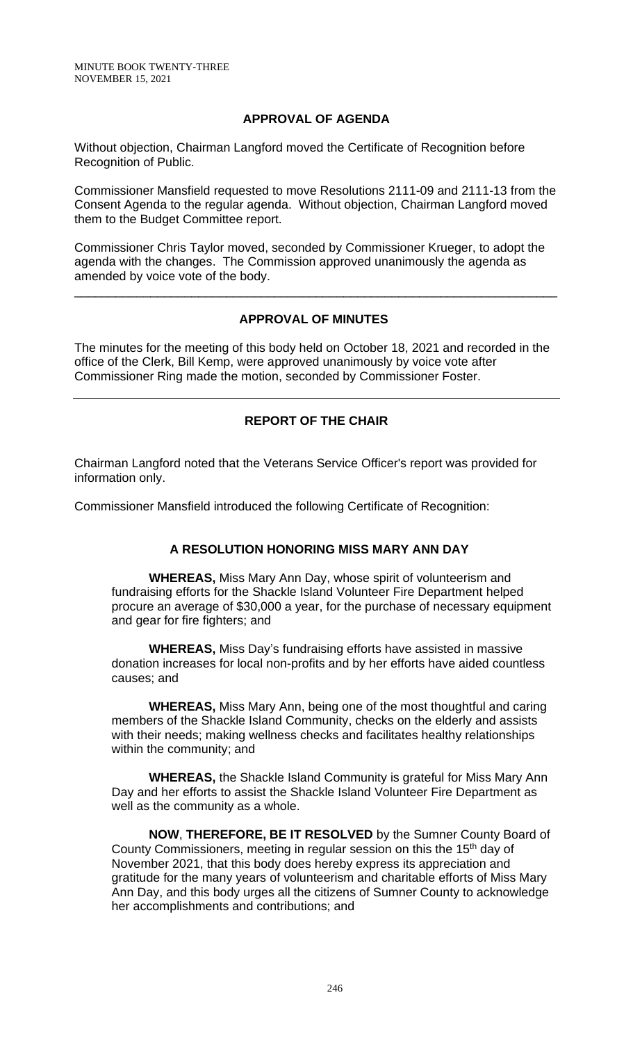MINUTE BOOK TWENTY-THREE NOVEMBER 15, 2021

### **APPROVAL OF AGENDA**

Without objection, Chairman Langford moved the Certificate of Recognition before Recognition of Public.

Commissioner Mansfield requested to move Resolutions 2111-09 and 2111-13 from the Consent Agenda to the regular agenda. Without objection, Chairman Langford moved them to the Budget Committee report.

Commissioner Chris Taylor moved, seconded by Commissioner Krueger, to adopt the agenda with the changes. The Commission approved unanimously the agenda as amended by voice vote of the body.

## **APPROVAL OF MINUTES**

\_\_\_\_\_\_\_\_\_\_\_\_\_\_\_\_\_\_\_\_\_\_\_\_\_\_\_\_\_\_\_\_\_\_\_\_\_\_\_\_\_\_\_\_\_\_\_\_\_\_\_\_\_\_\_\_\_\_\_\_\_\_\_\_\_\_\_\_\_\_

The minutes for the meeting of this body held on October 18, 2021 and recorded in the office of the Clerk, Bill Kemp, were approved unanimously by voice vote after Commissioner Ring made the motion, seconded by Commissioner Foster.

# **REPORT OF THE CHAIR**

Chairman Langford noted that the Veterans Service Officer's report was provided for information only.

Commissioner Mansfield introduced the following Certificate of Recognition:

## **A RESOLUTION HONORING MISS MARY ANN DAY**

**WHEREAS,** Miss Mary Ann Day, whose spirit of volunteerism and fundraising efforts for the Shackle Island Volunteer Fire Department helped procure an average of \$30,000 a year, for the purchase of necessary equipment and gear for fire fighters; and

**WHEREAS,** Miss Day's fundraising efforts have assisted in massive donation increases for local non-profits and by her efforts have aided countless causes; and

**WHEREAS,** Miss Mary Ann, being one of the most thoughtful and caring members of the Shackle Island Community, checks on the elderly and assists with their needs; making wellness checks and facilitates healthy relationships within the community; and

**WHEREAS,** the Shackle Island Community is grateful for Miss Mary Ann Day and her efforts to assist the Shackle Island Volunteer Fire Department as well as the community as a whole.

**NOW**, **THEREFORE, BE IT RESOLVED** by the Sumner County Board of County Commissioners, meeting in regular session on this the 15<sup>th</sup> day of November 2021, that this body does hereby express its appreciation and gratitude for the many years of volunteerism and charitable efforts of Miss Mary Ann Day, and this body urges all the citizens of Sumner County to acknowledge her accomplishments and contributions; and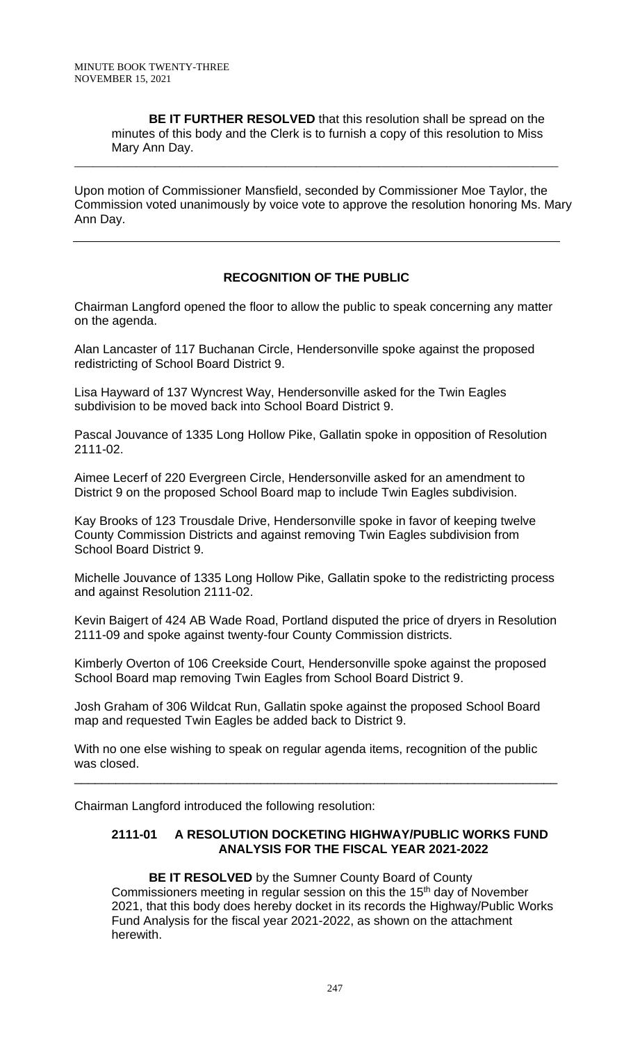**BE IT FURTHER RESOLVED** that this resolution shall be spread on the minutes of this body and the Clerk is to furnish a copy of this resolution to Miss Mary Ann Day.

Upon motion of Commissioner Mansfield, seconded by Commissioner Moe Taylor, the Commission voted unanimously by voice vote to approve the resolution honoring Ms. Mary Ann Day.

\_\_\_\_\_\_\_\_\_\_\_\_\_\_\_\_\_\_\_\_\_\_\_\_\_\_\_\_\_\_\_\_\_\_\_\_\_\_\_\_\_\_\_\_\_\_\_\_\_\_\_\_\_\_\_\_\_\_\_\_\_\_\_\_\_\_\_\_\_\_\_\_\_\_\_\_\_\_

# **RECOGNITION OF THE PUBLIC**

Chairman Langford opened the floor to allow the public to speak concerning any matter on the agenda.

Alan Lancaster of 117 Buchanan Circle, Hendersonville spoke against the proposed redistricting of School Board District 9.

Lisa Hayward of 137 Wyncrest Way, Hendersonville asked for the Twin Eagles subdivision to be moved back into School Board District 9.

Pascal Jouvance of 1335 Long Hollow Pike, Gallatin spoke in opposition of Resolution 2111-02.

Aimee Lecerf of 220 Evergreen Circle, Hendersonville asked for an amendment to District 9 on the proposed School Board map to include Twin Eagles subdivision.

Kay Brooks of 123 Trousdale Drive, Hendersonville spoke in favor of keeping twelve County Commission Districts and against removing Twin Eagles subdivision from School Board District 9.

Michelle Jouvance of 1335 Long Hollow Pike, Gallatin spoke to the redistricting process and against Resolution 2111-02.

Kevin Baigert of 424 AB Wade Road, Portland disputed the price of dryers in Resolution 2111-09 and spoke against twenty-four County Commission districts.

Kimberly Overton of 106 Creekside Court, Hendersonville spoke against the proposed School Board map removing Twin Eagles from School Board District 9.

Josh Graham of 306 Wildcat Run, Gallatin spoke against the proposed School Board map and requested Twin Eagles be added back to District 9.

With no one else wishing to speak on regular agenda items, recognition of the public was closed.

\_\_\_\_\_\_\_\_\_\_\_\_\_\_\_\_\_\_\_\_\_\_\_\_\_\_\_\_\_\_\_\_\_\_\_\_\_\_\_\_\_\_\_\_\_\_\_\_\_\_\_\_\_\_\_\_\_\_\_\_\_\_\_\_\_\_\_\_\_\_

Chairman Langford introduced the following resolution:

## **2111-01 A RESOLUTION DOCKETING HIGHWAY/PUBLIC WORKS FUND ANALYSIS FOR THE FISCAL YEAR 2021-2022**

**BE IT RESOLVED** by the Sumner County Board of County Commissioners meeting in regular session on this the 15<sup>th</sup> day of November 2021, that this body does hereby docket in its records the Highway/Public Works Fund Analysis for the fiscal year 2021-2022, as shown on the attachment herewith.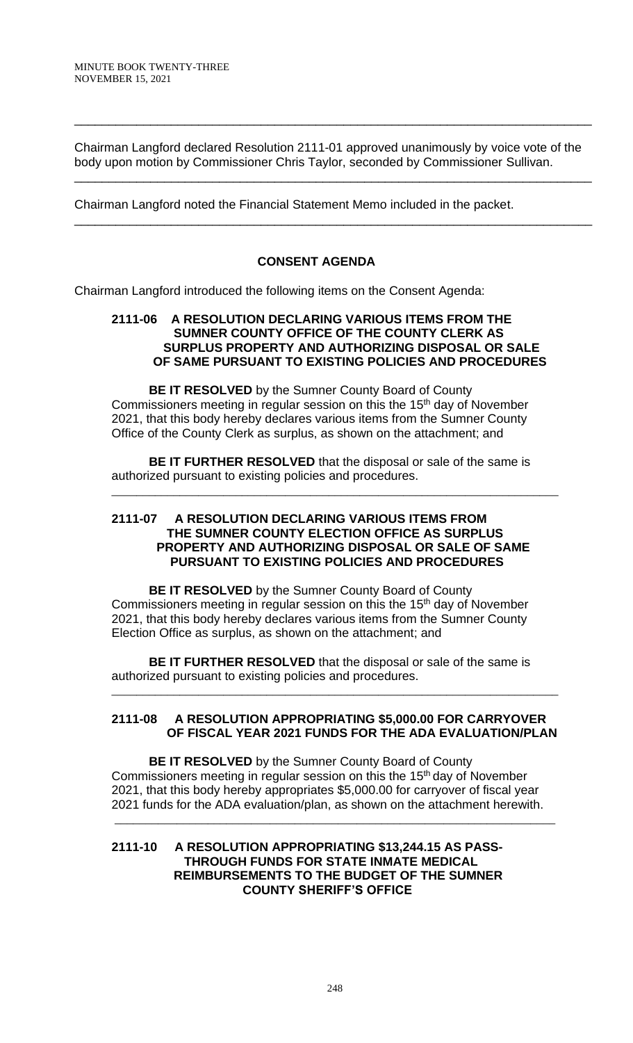Chairman Langford declared Resolution 2111-01 approved unanimously by voice vote of the body upon motion by Commissioner Chris Taylor, seconded by Commissioner Sullivan.

\_\_\_\_\_\_\_\_\_\_\_\_\_\_\_\_\_\_\_\_\_\_\_\_\_\_\_\_\_\_\_\_\_\_\_\_\_\_\_\_\_\_\_\_\_\_\_\_\_\_\_\_\_\_\_\_\_\_\_\_\_\_\_\_\_\_\_\_\_\_\_\_\_\_\_

\_\_\_\_\_\_\_\_\_\_\_\_\_\_\_\_\_\_\_\_\_\_\_\_\_\_\_\_\_\_\_\_\_\_\_\_\_\_\_\_\_\_\_\_\_\_\_\_\_\_\_\_\_\_\_\_\_\_\_\_\_\_\_\_\_\_\_\_\_\_\_\_\_\_\_

\_\_\_\_\_\_\_\_\_\_\_\_\_\_\_\_\_\_\_\_\_\_\_\_\_\_\_\_\_\_\_\_\_\_\_\_\_\_\_\_\_\_\_\_\_\_\_\_\_\_\_\_\_\_\_\_\_\_\_\_\_\_\_\_\_\_\_\_\_\_\_\_\_\_\_

Chairman Langford noted the Financial Statement Memo included in the packet.

## **CONSENT AGENDA**

Chairman Langford introduced the following items on the Consent Agenda:

#### **2111-06 A RESOLUTION DECLARING VARIOUS ITEMS FROM THE SUMNER COUNTY OFFICE OF THE COUNTY CLERK AS SURPLUS PROPERTY AND AUTHORIZING DISPOSAL OR SALE OF SAME PURSUANT TO EXISTING POLICIES AND PROCEDURES**

**BE IT RESOLVED** by the Sumner County Board of County Commissioners meeting in regular session on this the 15<sup>th</sup> day of November 2021, that this body hereby declares various items from the Sumner County Office of the County Clerk as surplus, as shown on the attachment; and

**BE IT FURTHER RESOLVED** that the disposal or sale of the same is authorized pursuant to existing policies and procedures.

\_\_\_\_\_\_\_\_\_\_\_\_\_\_\_\_\_\_\_\_\_\_\_\_\_\_\_\_\_\_\_\_\_\_\_\_\_\_\_\_\_\_\_\_\_\_\_\_\_\_\_\_\_\_\_\_\_\_\_\_\_\_\_\_\_\_\_\_\_\_\_\_

#### **2111-07 A RESOLUTION DECLARING VARIOUS ITEMS FROM THE SUMNER COUNTY ELECTION OFFICE AS SURPLUS PROPERTY AND AUTHORIZING DISPOSAL OR SALE OF SAME PURSUANT TO EXISTING POLICIES AND PROCEDURES**

**BE IT RESOLVED** by the Sumner County Board of County Commissioners meeting in regular session on this the 15<sup>th</sup> day of November 2021, that this body hereby declares various items from the Sumner County Election Office as surplus, as shown on the attachment; and

**BE IT FURTHER RESOLVED** that the disposal or sale of the same is authorized pursuant to existing policies and procedures.

### **2111-08 A RESOLUTION APPROPRIATING \$5,000.00 FOR CARRYOVER OF FISCAL YEAR 2021 FUNDS FOR THE ADA EVALUATION/PLAN**

\_\_\_\_\_\_\_\_\_\_\_\_\_\_\_\_\_\_\_\_\_\_\_\_\_\_\_\_\_\_\_\_\_\_\_\_\_\_\_\_\_\_\_\_\_\_\_\_\_\_\_\_\_\_\_\_\_\_\_\_\_\_\_\_\_\_\_\_\_\_\_\_

**BE IT RESOLVED** by the Sumner County Board of County Commissioners meeting in regular session on this the 15<sup>th</sup> day of November 2021, that this body hereby appropriates \$5,000.00 for carryover of fiscal year 2021 funds for the ADA evaluation/plan, as shown on the attachment herewith.

\_\_\_\_\_\_\_\_\_\_\_\_\_\_\_\_\_\_\_\_\_\_\_\_\_\_\_\_\_\_\_\_\_\_\_\_\_\_\_\_\_\_\_\_\_\_\_\_\_\_\_\_\_\_\_\_\_\_\_\_\_\_\_\_\_\_\_\_\_\_\_

#### **2111-10 A RESOLUTION APPROPRIATING \$13,244.15 AS PASS- THROUGH FUNDS FOR STATE INMATE MEDICAL REIMBURSEMENTS TO THE BUDGET OF THE SUMNER COUNTY SHERIFF'S OFFICE**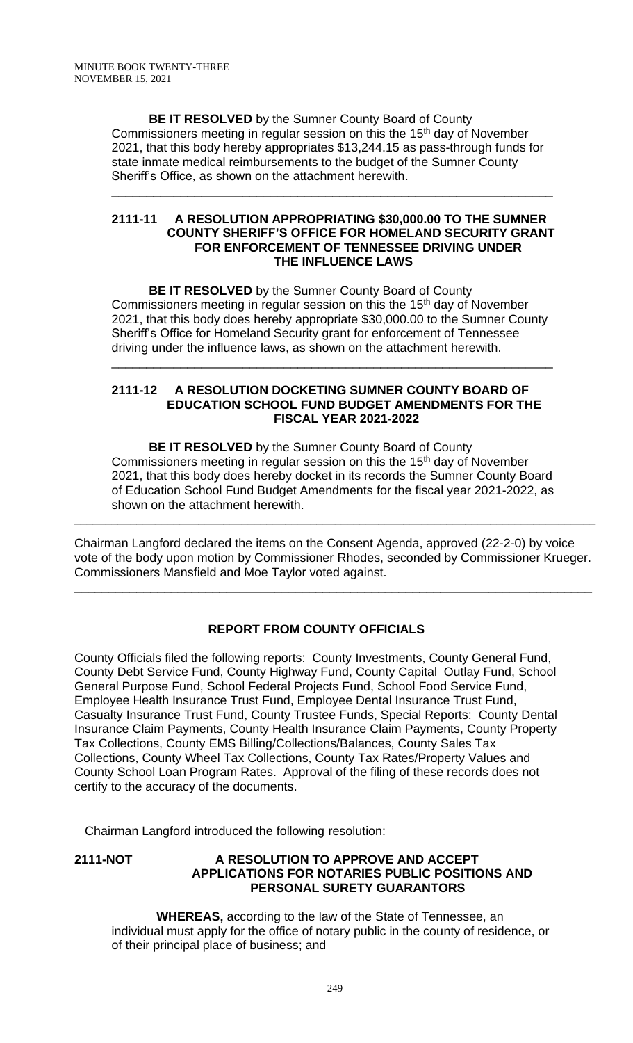**BE IT RESOLVED** by the Sumner County Board of County Commissioners meeting in regular session on this the 15<sup>th</sup> day of November 2021, that this body hereby appropriates \$13,244.15 as pass-through funds for state inmate medical reimbursements to the budget of the Sumner County Sheriff's Office, as shown on the attachment herewith.

#### **2111-11 A RESOLUTION APPROPRIATING \$30,000.00 TO THE SUMNER COUNTY SHERIFF'S OFFICE FOR HOMELAND SECURITY GRANT FOR ENFORCEMENT OF TENNESSEE DRIVING UNDER THE INFLUENCE LAWS**

\_\_\_\_\_\_\_\_\_\_\_\_\_\_\_\_\_\_\_\_\_\_\_\_\_\_\_\_\_\_\_\_\_\_\_\_\_\_\_\_\_\_\_\_\_\_\_\_\_\_\_\_\_\_\_\_\_\_\_\_\_\_\_\_

**BE IT RESOLVED** by the Sumner County Board of County Commissioners meeting in regular session on this the 15<sup>th</sup> day of November 2021, that this body does hereby appropriate \$30,000.00 to the Sumner County Sheriff's Office for Homeland Security grant for enforcement of Tennessee driving under the influence laws, as shown on the attachment herewith.

\_\_\_\_\_\_\_\_\_\_\_\_\_\_\_\_\_\_\_\_\_\_\_\_\_\_\_\_\_\_\_\_\_\_\_\_\_\_\_\_\_\_\_\_\_\_\_\_\_\_\_\_\_\_\_\_\_\_\_\_\_\_\_\_

#### **2111-12 A RESOLUTION DOCKETING SUMNER COUNTY BOARD OF EDUCATION SCHOOL FUND BUDGET AMENDMENTS FOR THE FISCAL YEAR 2021-2022**

**BE IT RESOLVED** by the Sumner County Board of County Commissioners meeting in regular session on this the 15<sup>th</sup> day of November 2021, that this body does hereby docket in its records the Sumner County Board of Education School Fund Budget Amendments for the fiscal year 2021-2022, as shown on the attachment herewith.

Chairman Langford declared the items on the Consent Agenda, approved (22-2-0) by voice vote of the body upon motion by Commissioner Rhodes, seconded by Commissioner Krueger. Commissioners Mansfield and Moe Taylor voted against.

\_\_\_\_\_\_\_\_\_\_\_\_\_\_\_\_\_\_\_\_\_\_\_\_\_\_\_\_\_\_\_\_\_\_\_\_\_\_\_\_\_\_\_\_\_\_\_\_\_\_\_\_\_\_\_\_\_\_\_\_\_\_\_\_\_\_\_\_\_\_\_\_\_\_\_

\_\_\_\_\_\_\_\_\_\_\_\_\_\_\_\_\_\_\_\_\_\_\_\_\_\_\_\_\_\_\_\_\_\_\_\_\_\_\_\_\_\_\_\_\_\_\_\_\_\_\_\_\_\_\_\_\_\_\_\_\_\_\_\_\_\_\_\_\_\_\_\_\_\_\_\_\_\_\_\_\_\_\_\_

# **REPORT FROM COUNTY OFFICIALS**

County Officials filed the following reports: County Investments, County General Fund, County Debt Service Fund, County Highway Fund, County Capital Outlay Fund, School General Purpose Fund, School Federal Projects Fund, School Food Service Fund, Employee Health Insurance Trust Fund, Employee Dental Insurance Trust Fund, Casualty Insurance Trust Fund, County Trustee Funds, Special Reports: County Dental Insurance Claim Payments, County Health Insurance Claim Payments, County Property Tax Collections, County EMS Billing/Collections/Balances, County Sales Tax Collections, County Wheel Tax Collections, County Tax Rates/Property Values and County School Loan Program Rates. Approval of the filing of these records does not certify to the accuracy of the documents.

Chairman Langford introduced the following resolution:

## **2111-NOT A RESOLUTION TO APPROVE AND ACCEPT APPLICATIONS FOR NOTARIES PUBLIC POSITIONS AND PERSONAL SURETY GUARANTORS**

 **WHEREAS,** according to the law of the State of Tennessee, an individual must apply for the office of notary public in the county of residence, or of their principal place of business; and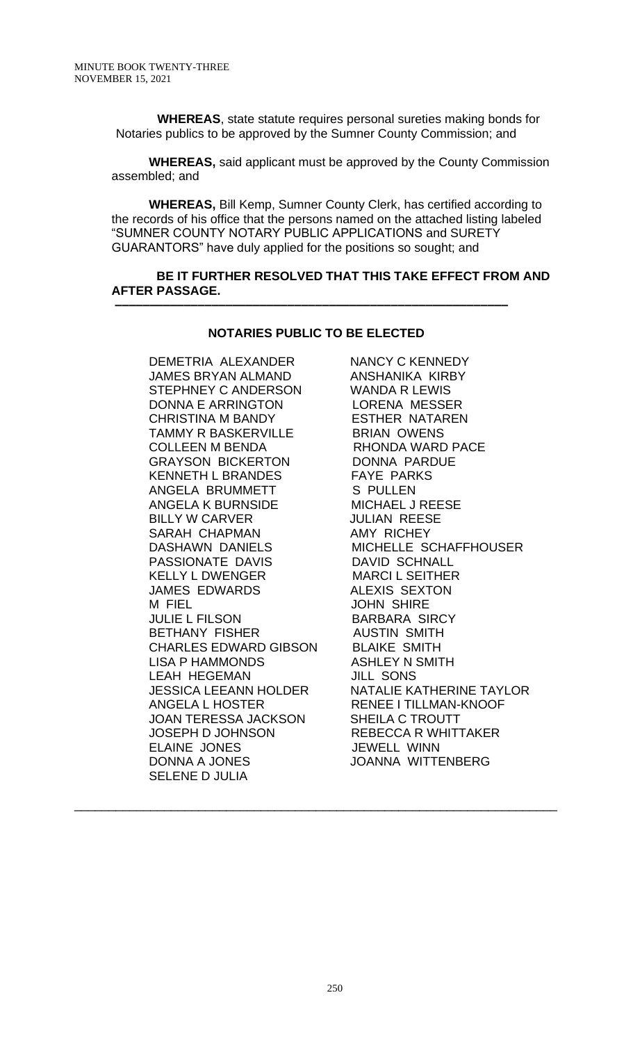**WHEREAS**, state statute requires personal sureties making bonds for Notaries publics to be approved by the Sumner County Commission; and

**WHEREAS,** said applicant must be approved by the County Commission assembled; and

**WHEREAS,** Bill Kemp, Sumner County Clerk, has certified according to the records of his office that the persons named on the attached listing labeled "SUMNER COUNTY NOTARY PUBLIC APPLICATIONS and SURETY GUARANTORS" have duly applied for the positions so sought; and

### **BE IT FURTHER RESOLVED THAT THIS TAKE EFFECT FROM AND AFTER PASSAGE.**

### **NOTARIES PUBLIC TO BE ELECTED**

 **–––––––––––––––––––––––––––––––––––––––––––––––––––––––––**

DEMETRIA ALEXANDER NANCY C KENNEDY JAMES BRYAN ALMAND ANSHANIKA KIRBY STEPHNEY C ANDERSON WANDA R LEWIS DONNA E ARRINGTON LORENA MESSER CHRISTINA M BANDY ESTHER NATAREN TAMMY R BASKERVILLE BRIAN OWENS COLLEEN M BENDA RHONDA WARD PACE GRAYSON BICKERTON DONNA PARDUE KENNETH L BRANDES FAYE PARKS ANGELA BRUMMETT S PULLEN ANGELA K BURNSIDE MICHAEL J REESE BILLY W CARVER JULIAN REESE SARAH CHAPMAN AMY RICHEY PASSIONATE DAVIS DAVID SCHNALL KELLY L DWENGER MARCI L SEITHER JAMES EDWARDS ALEXIS SEXTON M FIEL JOHN SHIRE JULIE L FILSON BARBARA SIRCY BETHANY FISHER AUSTIN SMITH CHARLES EDWARD GIBSON BLAIKE SMITH LISA P HAMMONDS ASHLEY N SMITH LEAH HEGEMAN JILL SONS ANGELA L HOSTER RENEE I TILLMAN-KNOOF JOAN TERESSA JACKSON SHEILA C TROUTT JOSEPH D JOHNSON REBECCA R WHITTAKER ELAINE JONES JEWELL WINN DONNA A JONES JOANNA WITTENBERG SELENE D JULIA

DASHAWN DANIELS MICHELLE SCHAFFHOUSER JESSICA LEEANN HOLDER NATALIE KATHERINE TAYLOR

\_\_\_\_\_\_\_\_\_\_\_\_\_\_\_\_\_\_\_\_\_\_\_\_\_\_\_\_\_\_\_\_\_\_\_\_\_\_\_\_\_\_\_\_\_\_\_\_\_\_\_\_\_\_\_\_\_\_\_\_\_\_\_\_\_\_\_\_\_\_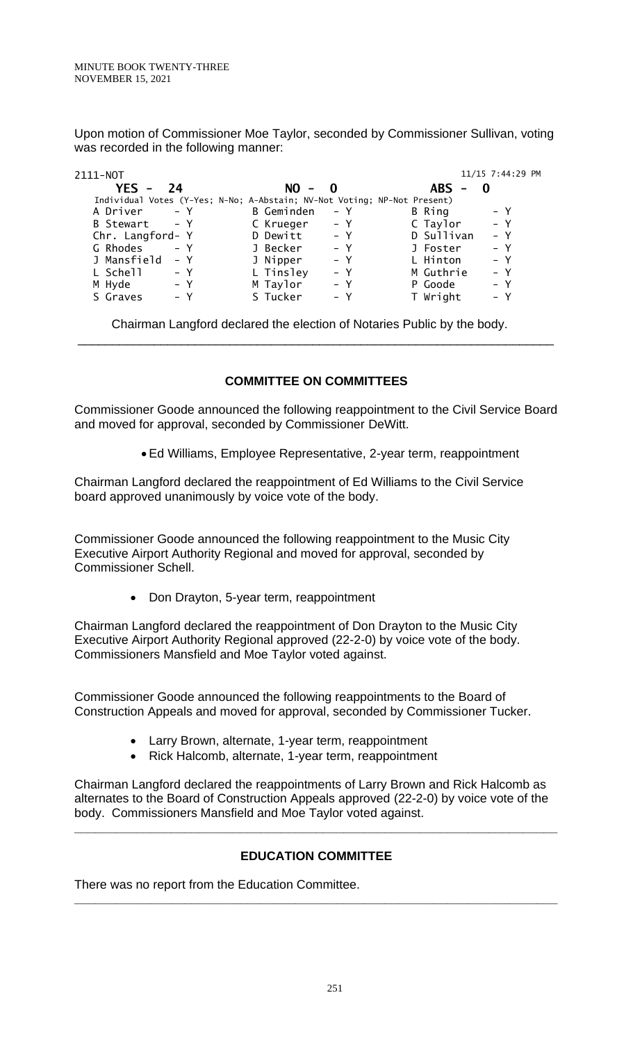Upon motion of Commissioner Moe Taylor, seconded by Commissioner Sullivan, voting was recorded in the following manner:

| 2111-NOT                                                                 |                   |       |            | 11/15 7:44:29 PM |
|--------------------------------------------------------------------------|-------------------|-------|------------|------------------|
| YES -<br>24                                                              | $NO -$            | - 0   | $ABS -$    |                  |
| Individual Votes (Y-Yes; N-No; A-Abstain; NV-Not Voting; NP-Not Present) |                   |       |            |                  |
| A Driver<br>$- Y$                                                        | <b>B</b> Geminden | $- Y$ | B Ring     | $- Y$            |
| $- Y$<br>B Stewart                                                       | C Krueger         | – Y   | C Taylor   | $- Y$            |
| Chr. Langford- Y                                                         | D Dewitt          | $- Y$ | D Sullivan | $- Y$            |
| G Rhodes<br>$- Y$                                                        | J Becker          | $- Y$ | J Foster   | $- Y$            |
| J Mansfield<br>$- Y$                                                     | J Nipper          | $- Y$ | L Hinton   | $- Y$            |
| L Schell<br>– Y                                                          | L Tinsley         | $- Y$ | M Guthrie  | $- Y$            |
| M Hyde<br>– Y                                                            | M Taylor          | $- Y$ | P Goode    | $- Y$            |
| S Graves<br>$- Y$                                                        | S Tucker          | $- Y$ | T Wright   | $- Y$            |

Chairman Langford declared the election of Notaries Public by the body. \_\_\_\_\_\_\_\_\_\_\_\_\_\_\_\_\_\_\_\_\_\_\_\_\_\_\_\_\_\_\_\_\_\_\_\_\_\_\_\_\_\_\_\_\_\_\_\_\_\_\_\_\_\_\_\_\_\_\_\_\_\_\_\_\_\_\_\_\_

## **COMMITTEE ON COMMITTEES**

Commissioner Goode announced the following reappointment to the Civil Service Board and moved for approval, seconded by Commissioner DeWitt.

• Ed Williams, Employee Representative, 2-year term, reappointment

Chairman Langford declared the reappointment of Ed Williams to the Civil Service board approved unanimously by voice vote of the body.

Commissioner Goode announced the following reappointment to the Music City Executive Airport Authority Regional and moved for approval, seconded by Commissioner Schell.

• Don Drayton, 5-year term, reappointment

Chairman Langford declared the reappointment of Don Drayton to the Music City Executive Airport Authority Regional approved (22-2-0) by voice vote of the body. Commissioners Mansfield and Moe Taylor voted against.

Commissioner Goode announced the following reappointments to the Board of Construction Appeals and moved for approval, seconded by Commissioner Tucker.

- Larry Brown, alternate, 1-year term, reappointment
- Rick Halcomb, alternate, 1-year term, reappointment

Chairman Langford declared the reappointments of Larry Brown and Rick Halcomb as alternates to the Board of Construction Appeals approved (22-2-0) by voice vote of the body. Commissioners Mansfield and Moe Taylor voted against.

# **EDUCATION COMMITTEE**

**\_\_\_\_\_\_\_\_\_\_\_\_\_\_\_\_\_\_\_\_\_\_\_\_\_\_\_\_\_\_\_\_\_\_\_\_\_\_\_\_\_\_\_\_\_\_\_\_\_\_\_\_\_\_\_\_\_\_\_\_\_\_\_\_\_\_\_\_\_\_**

**\_\_\_\_\_\_\_\_\_\_\_\_\_\_\_\_\_\_\_\_\_\_\_\_\_\_\_\_\_\_\_\_\_\_\_\_\_\_\_\_\_\_\_\_\_\_\_\_\_\_\_\_\_\_\_\_\_\_\_\_\_\_\_\_\_\_\_\_\_\_**

There was no report from the Education Committee.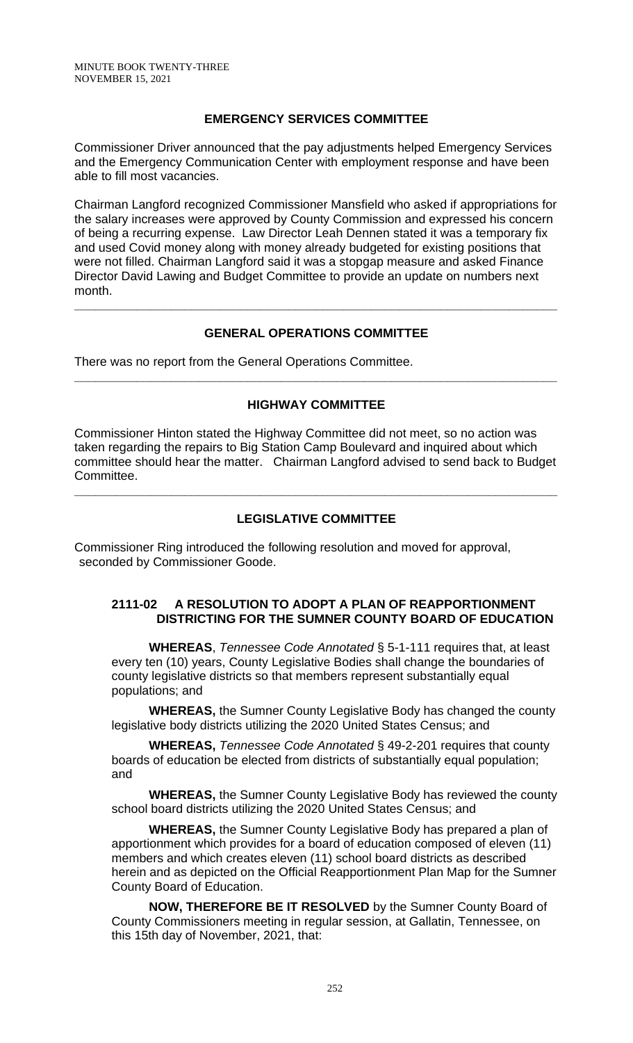## **EMERGENCY SERVICES COMMITTEE**

Commissioner Driver announced that the pay adjustments helped Emergency Services and the Emergency Communication Center with employment response and have been able to fill most vacancies.

Chairman Langford recognized Commissioner Mansfield who asked if appropriations for the salary increases were approved by County Commission and expressed his concern of being a recurring expense. Law Director Leah Dennen stated it was a temporary fix and used Covid money along with money already budgeted for existing positions that were not filled. Chairman Langford said it was a stopgap measure and asked Finance Director David Lawing and Budget Committee to provide an update on numbers next month.

# **GENERAL OPERATIONS COMMITTEE**

**\_\_\_\_\_\_\_\_\_\_\_\_\_\_\_\_\_\_\_\_\_\_\_\_\_\_\_\_\_\_\_\_\_\_\_\_\_\_\_\_\_\_\_\_\_\_\_\_\_\_\_\_\_\_\_\_\_\_\_\_\_\_\_\_\_\_\_\_\_\_**

There was no report from the General Operations Committee.

### **HIGHWAY COMMITTEE**

**\_\_\_\_\_\_\_\_\_\_\_\_\_\_\_\_\_\_\_\_\_\_\_\_\_\_\_\_\_\_\_\_\_\_\_\_\_\_\_\_\_\_\_\_\_\_\_\_\_\_\_\_\_\_\_\_\_\_\_\_\_\_\_\_\_\_\_\_\_\_**

Commissioner Hinton stated the Highway Committee did not meet, so no action was taken regarding the repairs to Big Station Camp Boulevard and inquired about which committee should hear the matter. Chairman Langford advised to send back to Budget Committee.

## **LEGISLATIVE COMMITTEE**

**\_\_\_\_\_\_\_\_\_\_\_\_\_\_\_\_\_\_\_\_\_\_\_\_\_\_\_\_\_\_\_\_\_\_\_\_\_\_\_\_\_\_\_\_\_\_\_\_\_\_\_\_\_\_\_\_\_\_\_\_\_\_\_\_\_\_\_\_\_\_**

Commissioner Ring introduced the following resolution and moved for approval, seconded by Commissioner Goode.

### **2111-02 A RESOLUTION TO ADOPT A PLAN OF REAPPORTIONMENT DISTRICTING FOR THE SUMNER COUNTY BOARD OF EDUCATION**

**WHEREAS**, *Tennessee Code Annotated* § 5-1-111 requires that, at least every ten (10) years, County Legislative Bodies shall change the boundaries of county legislative districts so that members represent substantially equal populations; and

**WHEREAS,** the Sumner County Legislative Body has changed the county legislative body districts utilizing the 2020 United States Census; and

**WHEREAS,** *Tennessee Code Annotated* § 49-2-201 requires that county boards of education be elected from districts of substantially equal population; and

**WHEREAS,** the Sumner County Legislative Body has reviewed the county school board districts utilizing the 2020 United States Census; and

**WHEREAS,** the Sumner County Legislative Body has prepared a plan of apportionment which provides for a board of education composed of eleven (11) members and which creates eleven (11) school board districts as described herein and as depicted on the Official Reapportionment Plan Map for the Sumner County Board of Education.

**NOW, THEREFORE BE IT RESOLVED** by the Sumner County Board of County Commissioners meeting in regular session, at Gallatin, Tennessee, on this 15th day of November, 2021, that: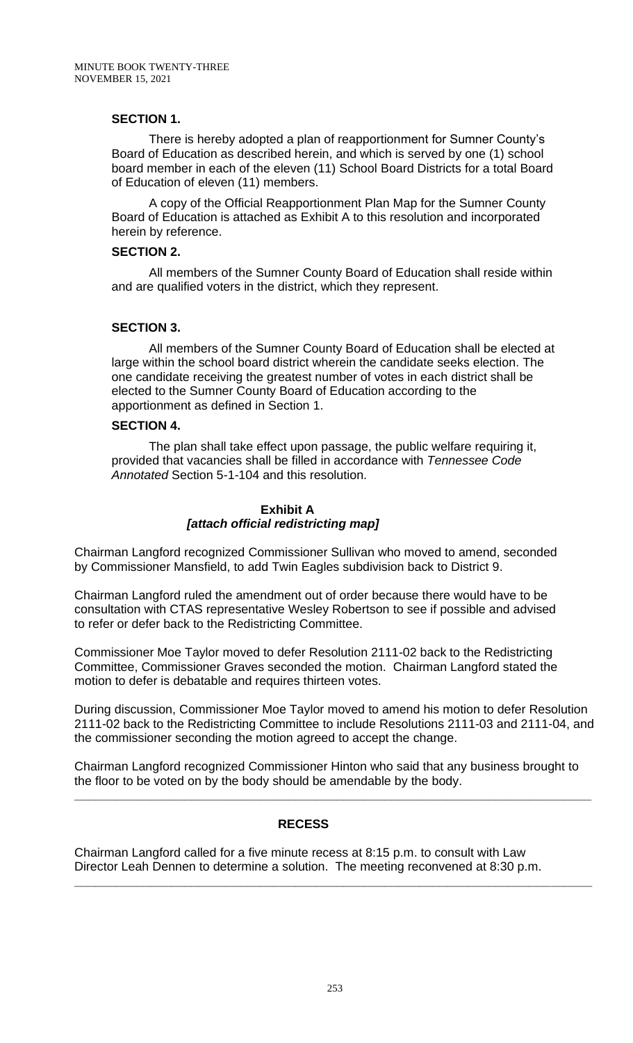#### **SECTION 1.**

There is hereby adopted a plan of reapportionment for Sumner County's Board of Education as described herein, and which is served by one (1) school board member in each of the eleven (11) School Board Districts for a total Board of Education of eleven (11) members.

A copy of the Official Reapportionment Plan Map for the Sumner County Board of Education is attached as Exhibit A to this resolution and incorporated herein by reference.

### **SECTION 2.**

All members of the Sumner County Board of Education shall reside within and are qualified voters in the district, which they represent.

### **SECTION 3.**

All members of the Sumner County Board of Education shall be elected at large within the school board district wherein the candidate seeks election. The one candidate receiving the greatest number of votes in each district shall be elected to the Sumner County Board of Education according to the apportionment as defined in Section 1.

### **SECTION 4.**

The plan shall take effect upon passage, the public welfare requiring it, provided that vacancies shall be filled in accordance with *Tennessee Code Annotated* Section 5-1-104 and this resolution.

### **Exhibit A**  *[attach official redistricting map]*

Chairman Langford recognized Commissioner Sullivan who moved to amend, seconded by Commissioner Mansfield, to add Twin Eagles subdivision back to District 9.

Chairman Langford ruled the amendment out of order because there would have to be consultation with CTAS representative Wesley Robertson to see if possible and advised to refer or defer back to the Redistricting Committee.

Commissioner Moe Taylor moved to defer Resolution 2111-02 back to the Redistricting Committee, Commissioner Graves seconded the motion. Chairman Langford stated the motion to defer is debatable and requires thirteen votes.

During discussion, Commissioner Moe Taylor moved to amend his motion to defer Resolution 2111-02 back to the Redistricting Committee to include Resolutions 2111-03 and 2111-04, and the commissioner seconding the motion agreed to accept the change.

Chairman Langford recognized Commissioner Hinton who said that any business brought to the floor to be voted on by the body should be amendable by the body.

**\_\_\_\_\_\_\_\_\_\_\_\_\_\_\_\_\_\_\_\_\_\_\_\_\_\_\_\_\_\_\_\_\_\_\_\_\_\_\_\_\_\_\_\_\_\_\_\_\_\_\_\_\_\_\_\_\_\_\_\_\_\_\_\_\_\_\_\_\_\_\_\_\_\_\_**

**\_\_\_\_\_\_\_\_\_\_\_\_\_\_\_\_\_\_\_\_\_\_\_\_\_\_\_\_\_\_\_\_\_\_\_\_\_\_\_\_\_\_\_\_\_\_\_\_\_\_\_\_\_\_\_\_\_\_\_\_\_\_\_\_\_\_\_\_\_\_\_\_\_\_\_**

## **RECESS**

Chairman Langford called for a five minute recess at 8:15 p.m. to consult with Law Director Leah Dennen to determine a solution. The meeting reconvened at 8:30 p.m.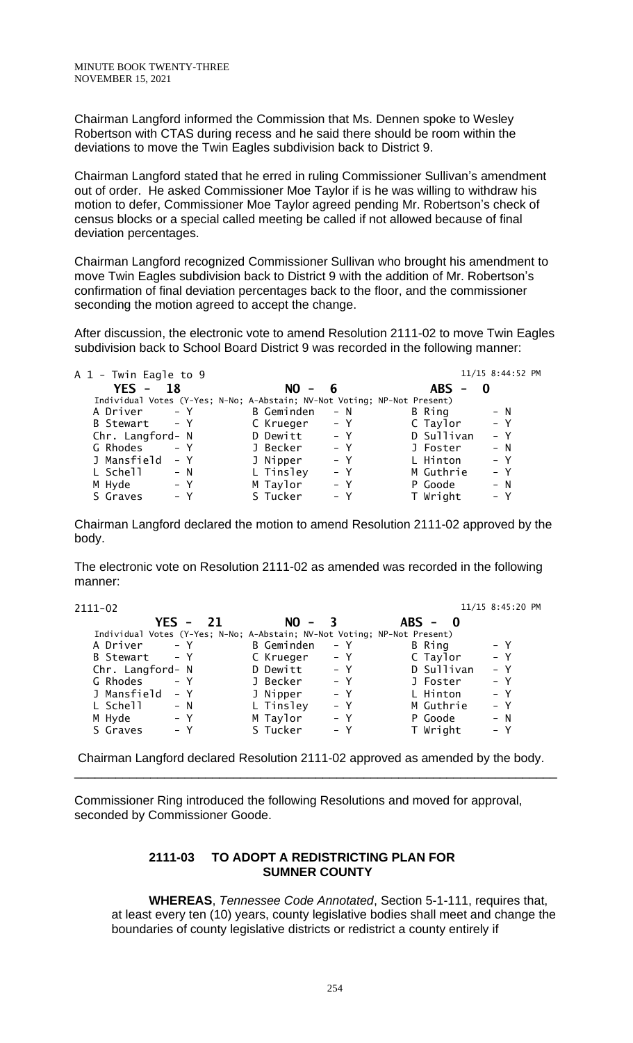Chairman Langford informed the Commission that Ms. Dennen spoke to Wesley Robertson with CTAS during recess and he said there should be room within the deviations to move the Twin Eagles subdivision back to District 9.

Chairman Langford stated that he erred in ruling Commissioner Sullivan's amendment out of order. He asked Commissioner Moe Taylor if is he was willing to withdraw his motion to defer, Commissioner Moe Taylor agreed pending Mr. Robertson's check of census blocks or a special called meeting be called if not allowed because of final deviation percentages.

Chairman Langford recognized Commissioner Sullivan who brought his amendment to move Twin Eagles subdivision back to District 9 with the addition of Mr. Robertson's confirmation of final deviation percentages back to the floor, and the commissioner seconding the motion agreed to accept the change.

After discussion, the electronic vote to amend Resolution 2111-02 to move Twin Eagles subdivision back to School Board District 9 was recorded in the following manner:

| A 1 - Twin Eagle to 9                                                    |                     |                                        | 11/15 8:44:52 PM |
|--------------------------------------------------------------------------|---------------------|----------------------------------------|------------------|
| $YES - 18$                                                               | $NO -$<br>- 6       | <b>ABS</b><br>$\overline{\phantom{a}}$ | 0                |
| Individual Votes (Y-Yes; N-No; A-Abstain; NV-Not Voting; NP-Not Present) |                     |                                        |                  |
| $- Y$<br>A Driver                                                        | B Geminden<br>$- N$ | B Ring                                 | $- N$            |
| B Stewart - Y                                                            | C Krueger<br>$- Y$  | C Taylor                               | $- Y$            |
| Chr. Langford- N                                                         | D Dewitt<br>$- Y$   | D Sullivan                             | $- Y$            |
| G Rhodes<br>$- Y$                                                        | J Becker<br>$- Y$   | J Foster                               | $- N$            |
| J Mansfield<br>$- Y$                                                     | J Nipper<br>$- Y$   | L Hinton                               | $- Y$            |
| L Schell<br>$- N$                                                        | L Tinsley<br>$- Y$  | M Guthrie                              | $- Y$            |
| M Hyde<br>$- Y$                                                          | M Taylor<br>$- Y$   | P Goode                                | – N              |
| S Graves<br>$- Y$                                                        | S Tucker<br>$- Y$   | T Wright                               | $- Y$            |

Chairman Langford declared the motion to amend Resolution 2111-02 approved by the body.

The electronic vote on Resolution 2111-02 as amended was recorded in the following manner:

2111-02 11/15 8:45:20 PM

| $YES - 21$                                                               | $NO - 3$           | ABS - 0             |  |
|--------------------------------------------------------------------------|--------------------|---------------------|--|
| Individual Votes (Y-Yes; N-No; A-Abstain; NV-Not Voting; NP-Not Present) |                    |                     |  |
| A Driver - Y                                                             | B Geminden<br>– Y  | B Ring<br>$- Y$     |  |
| B Stewart - Y                                                            | C Krueger<br>$- Y$ | $- Y$<br>C Taylor   |  |
| Chr. Langford- N                                                         | D Dewitt<br>$- Y$  | D Sullivan<br>$- Y$ |  |
| $- Y$<br>G Rhodes                                                        | J Becker<br>$- Y$  | $- Y$<br>J Foster   |  |
| J Mansfield<br>– Y                                                       | J Nipper<br>$- Y$  | L Hinton<br>$- Y$   |  |
| L Schell<br>$- N$                                                        | L Tinsley<br>$- Y$ | M Guthrie<br>$- Y$  |  |
| M Hyde<br>$- Y$                                                          | M Taylor<br>$- Y$  | $- N$<br>P Goode    |  |
| S Graves<br>– Y                                                          | S Tucker<br>$- Y$  | T Wright<br>– Y     |  |
|                                                                          |                    |                     |  |

Chairman Langford declared Resolution 2111-02 approved as amended by the body. \_\_\_\_\_\_\_\_\_\_\_\_\_\_\_\_\_\_\_\_\_\_\_\_\_\_\_\_\_\_\_\_\_\_\_\_\_\_\_\_\_\_\_\_\_\_\_\_\_\_\_\_\_\_\_\_\_\_\_\_\_\_\_\_\_\_\_\_\_\_

Commissioner Ring introduced the following Resolutions and moved for approval, seconded by Commissioner Goode.

### **2111-03 TO ADOPT A REDISTRICTING PLAN FOR SUMNER COUNTY**

**WHEREAS**, *Tennessee Code Annotated*, Section 5-1-111, requires that, at least every ten (10) years, county legislative bodies shall meet and change the boundaries of county legislative districts or redistrict a county entirely if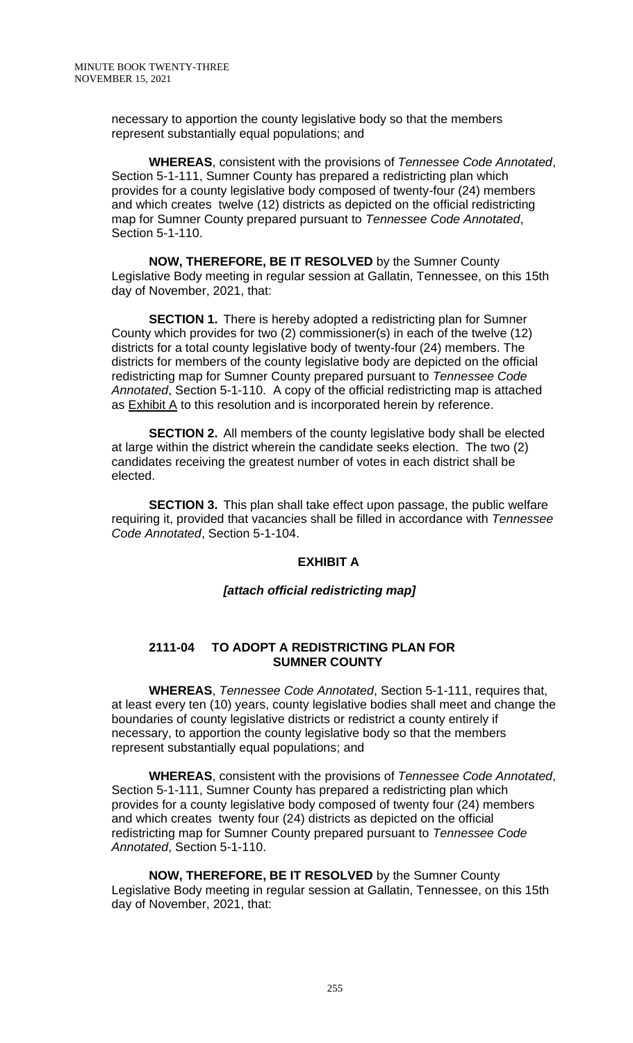necessary to apportion the county legislative body so that the members represent substantially equal populations; and

**WHEREAS**, consistent with the provisions of *Tennessee Code Annotated*, Section 5-1-111, Sumner County has prepared a redistricting plan which provides for a county legislative body composed of twenty-four (24) members and which creates twelve (12) districts as depicted on the official redistricting map for Sumner County prepared pursuant to *Tennessee Code Annotated*, Section 5-1-110.

**NOW, THEREFORE, BE IT RESOLVED** by the Sumner County Legislative Body meeting in regular session at Gallatin, Tennessee, on this 15th day of November, 2021, that:

**SECTION 1.** There is hereby adopted a redistricting plan for Sumner County which provides for two (2) commissioner(s) in each of the twelve (12) districts for a total county legislative body of twenty-four (24) members. The districts for members of the county legislative body are depicted on the official redistricting map for Sumner County prepared pursuant to *Tennessee Code Annotated*, Section 5-1-110. A copy of the official redistricting map is attached as  $Exhibit A$  to this resolution and is incorporated herein by reference.

**SECTION 2.** All members of the county legislative body shall be elected at large within the district wherein the candidate seeks election. The two (2) candidates receiving the greatest number of votes in each district shall be elected.

**SECTION 3.** This plan shall take effect upon passage, the public welfare requiring it, provided that vacancies shall be filled in accordance with *Tennessee Code Annotated*, Section 5-1-104.

## **EXHIBIT A**

#### *[attach official redistricting map]*

#### **2111-04 TO ADOPT A REDISTRICTING PLAN FOR SUMNER COUNTY**

**WHEREAS**, *Tennessee Code Annotated*, Section 5-1-111, requires that, at least every ten (10) years, county legislative bodies shall meet and change the boundaries of county legislative districts or redistrict a county entirely if necessary, to apportion the county legislative body so that the members represent substantially equal populations; and

**WHEREAS**, consistent with the provisions of *Tennessee Code Annotated*, Section 5-1-111, Sumner County has prepared a redistricting plan which provides for a county legislative body composed of twenty four (24) members and which creates twenty four (24) districts as depicted on the official redistricting map for Sumner County prepared pursuant to *Tennessee Code Annotated*, Section 5-1-110.

**NOW, THEREFORE, BE IT RESOLVED** by the Sumner County Legislative Body meeting in regular session at Gallatin, Tennessee, on this 15th day of November, 2021, that: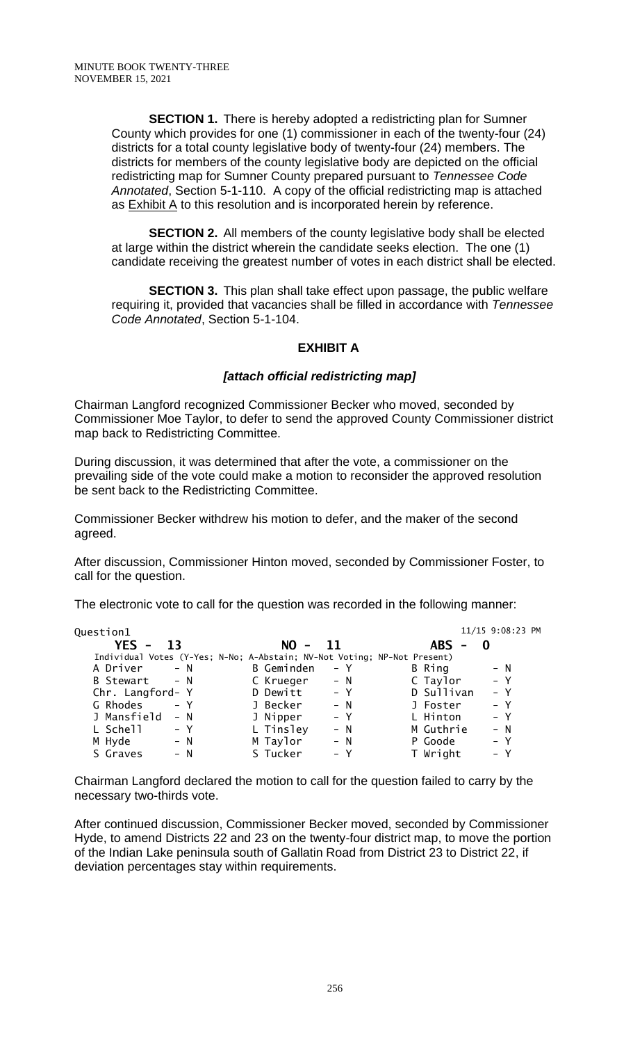**SECTION 1.** There is hereby adopted a redistricting plan for Sumner County which provides for one (1) commissioner in each of the twenty-four (24) districts for a total county legislative body of twenty-four (24) members. The districts for members of the county legislative body are depicted on the official redistricting map for Sumner County prepared pursuant to *Tennessee Code Annotated*, Section 5-1-110. A copy of the official redistricting map is attached as Exhibit A to this resolution and is incorporated herein by reference.

**SECTION 2.** All members of the county legislative body shall be elected at large within the district wherein the candidate seeks election. The one (1) candidate receiving the greatest number of votes in each district shall be elected.

**SECTION 3.** This plan shall take effect upon passage, the public welfare requiring it, provided that vacancies shall be filled in accordance with *Tennessee Code Annotated*, Section 5-1-104.

### **EXHIBIT A**

### *[attach official redistricting map]*

Chairman Langford recognized Commissioner Becker who moved, seconded by Commissioner Moe Taylor, to defer to send the approved County Commissioner district map back to Redistricting Committee.

During discussion, it was determined that after the vote, a commissioner on the prevailing side of the vote could make a motion to reconsider the approved resolution be sent back to the Redistricting Committee.

Commissioner Becker withdrew his motion to defer, and the maker of the second agreed.

After discussion, Commissioner Hinton moved, seconded by Commissioner Foster, to call for the question.

The electronic vote to call for the question was recorded in the following manner:

| Question1        |       |                                                                          |       |                                        | 11/15 9:08:23 PM |
|------------------|-------|--------------------------------------------------------------------------|-------|----------------------------------------|------------------|
| $YES -$          | -13   | $NO -$                                                                   | -11   | <b>ABS</b><br>$\overline{\phantom{a}}$ |                  |
|                  |       | Individual Votes (Y-Yes; N-No; A-Abstain; NV-Not Voting; NP-Not Present) |       |                                        |                  |
| A Driver         | $- N$ | B Geminden                                                               | – Y   | B Ring                                 | $- N$            |
| B Stewart        | $- N$ | C Krueger                                                                | $- N$ | C Taylor                               | $- Y$            |
| Chr. Langford- Y |       | D Dewitt                                                                 | $- Y$ | D Sullivan                             | $- Y$            |
| G Rhodes         | $- Y$ | J Becker                                                                 | $- N$ | J Foster                               | $- Y$            |
| J Mansfield      | $- N$ | J Nipper                                                                 | $- Y$ | L Hinton                               | $- Y$            |
| L Schell         | – Y   | L Tinsley                                                                | $- N$ | M Guthrie                              | $- N$            |
| M Hyde           | $- N$ | M Taylor                                                                 | $- N$ | P Goode                                | $- Y$            |
| S Graves         | – N   | S Tucker                                                                 | $- Y$ | T Wright                               | $- Y$            |
|                  |       |                                                                          |       |                                        |                  |

Chairman Langford declared the motion to call for the question failed to carry by the necessary two-thirds vote.

After continued discussion, Commissioner Becker moved, seconded by Commissioner Hyde, to amend Districts 22 and 23 on the twenty-four district map, to move the portion of the Indian Lake peninsula south of Gallatin Road from District 23 to District 22, if deviation percentages stay within requirements.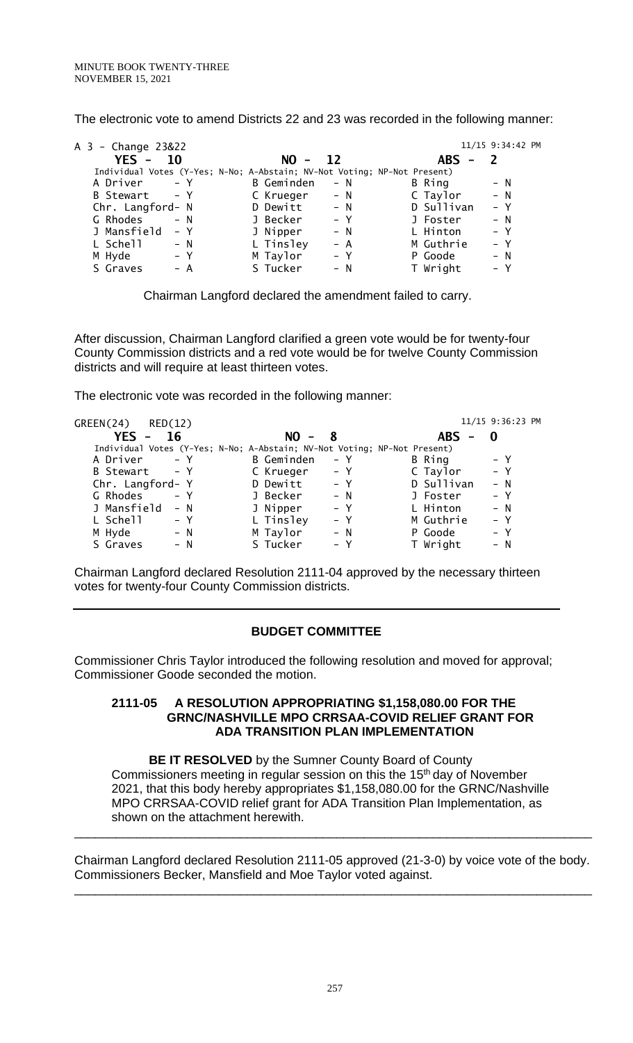The electronic vote to amend Districts 22 and 23 was recorded in the following manner:

| A 3 - Change 23&22                                                       |                   |                 |                      | 11/15 9:34:42 PM |
|--------------------------------------------------------------------------|-------------------|-----------------|----------------------|------------------|
| $YES - 10$                                                               | $NO -$            | $\overline{12}$ | <b>ABS</b><br>$\sim$ |                  |
| Individual Votes (Y-Yes; N-No; A-Abstain; NV-Not Voting; NP-Not Present) |                   |                 |                      |                  |
| A Driver<br>$- Y$                                                        | <b>B</b> Geminden | $- N$           | B Ring               | $- N$            |
| B Stewart - Y                                                            | C Krueger         | $- N$           | C Taylor             | $- N$            |
| Chr. Langford- N                                                         | D Dewitt          | $- N$           | D Sullivan           | $- Y$            |
| G Rhodes<br>$- N$                                                        | J Becker          | $- Y$           | J Foster             | $- N$            |
| J Mansfield<br>– Y                                                       | J Nipper          | $- N$           | L Hinton             | $- Y$            |
| L Schell<br>$- N$                                                        | L Tinsley         | $- A$           | M Guthrie            | $- Y$            |
| M Hyde<br>– Y                                                            | M Taylor          | $- Y$           | P Goode              | $- N$            |
| S Graves<br>$- A$                                                        | S Tucker          | $- N$           | T Wright             | $- Y$            |

Chairman Langford declared the amendment failed to carry.

After discussion, Chairman Langford clarified a green vote would be for twenty-four County Commission districts and a red vote would be for twelve County Commission districts and will require at least thirteen votes.

The electronic vote was recorded in the following manner:

| GREEN(24)<br>RED(12) |                                                                          |       |            | 11/15 9:36:23 PM |
|----------------------|--------------------------------------------------------------------------|-------|------------|------------------|
| $YES -$<br>16        | $NO -$                                                                   | - 8   | <b>ABS</b> |                  |
|                      | Individual Votes (Y-Yes; N-No; A-Abstain; NV-Not Voting; NP-Not Present) |       |            |                  |
| $- Y$<br>A Driver    | <b>B</b> Geminden                                                        | $- Y$ | B Ring     | $- Y$            |
| $- Y$<br>B Stewart   | C Krueger                                                                | – Y   | C Taylor   | $- Y$            |
| Chr. Langford- Y     | D Dewitt                                                                 | – Y   | D Sullivan | $- N$            |
| G Rhodes<br>$- Y$    | J Becker                                                                 | $- N$ | J Foster   | $- Y$            |
| J Mansfield<br>$- N$ | J Nipper                                                                 | $- Y$ | L Hinton   | $- N$            |
| L Schell<br>– Y      | L Tinsley                                                                | $- Y$ | M Guthrie  | $- Y$            |
| M Hyde<br>$- N$      | M Taylor                                                                 | $- N$ | P Goode    | $- Y$            |
| S Graves<br>$- N$    | S Tucker                                                                 | $- Y$ | T Wright   | $- N$            |

Chairman Langford declared Resolution 2111-04 approved by the necessary thirteen votes for twenty-four County Commission districts.

## **BUDGET COMMITTEE**

Commissioner Chris Taylor introduced the following resolution and moved for approval; Commissioner Goode seconded the motion.

#### **2111-05 A RESOLUTION APPROPRIATING \$1,158,080.00 FOR THE GRNC/NASHVILLE MPO CRRSAA-COVID RELIEF GRANT FOR ADA TRANSITION PLAN IMPLEMENTATION**

**BE IT RESOLVED** by the Sumner County Board of County Commissioners meeting in regular session on this the 15<sup>th</sup> day of November 2021, that this body hereby appropriates \$1,158,080.00 for the GRNC/Nashville MPO CRRSAA-COVID relief grant for ADA Transition Plan Implementation, as shown on the attachment herewith.

Chairman Langford declared Resolution 2111-05 approved (21-3-0) by voice vote of the body. Commissioners Becker, Mansfield and Moe Taylor voted against.

\_\_\_\_\_\_\_\_\_\_\_\_\_\_\_\_\_\_\_\_\_\_\_\_\_\_\_\_\_\_\_\_\_\_\_\_\_\_\_\_\_\_\_\_\_\_\_\_\_\_\_\_\_\_\_\_\_\_\_\_\_\_\_\_\_\_\_\_\_\_\_\_\_\_\_

\_\_\_\_\_\_\_\_\_\_\_\_\_\_\_\_\_\_\_\_\_\_\_\_\_\_\_\_\_\_\_\_\_\_\_\_\_\_\_\_\_\_\_\_\_\_\_\_\_\_\_\_\_\_\_\_\_\_\_\_\_\_\_\_\_\_\_\_\_\_\_\_\_\_\_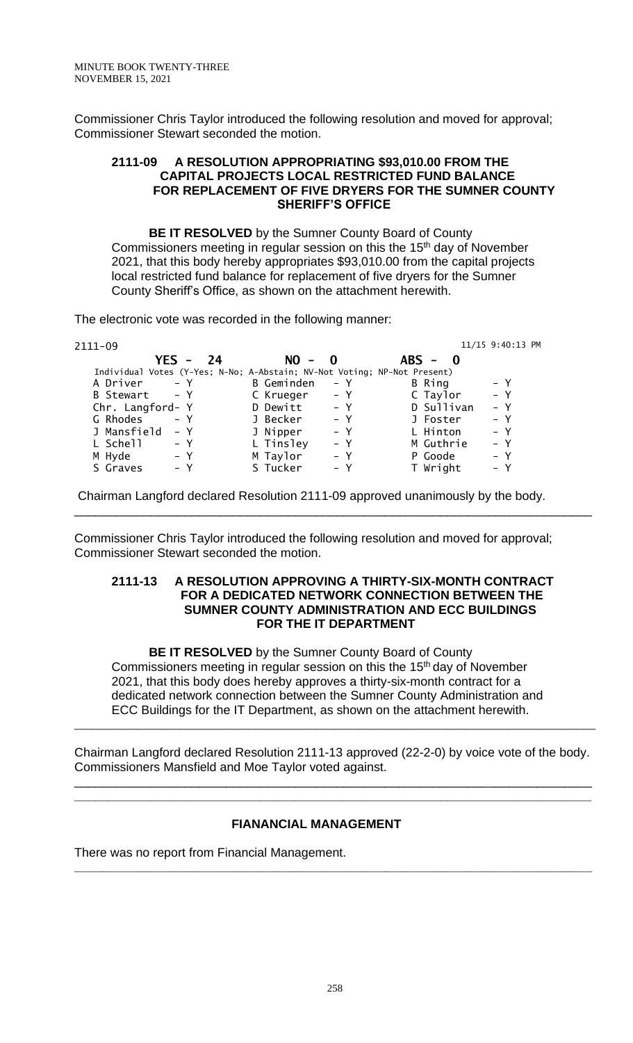Commissioner Chris Taylor introduced the following resolution and moved for approval; Commissioner Stewart seconded the motion.

#### **2111-09 A RESOLUTION APPROPRIATING \$93,010.00 FROM THE CAPITAL PROJECTS LOCAL RESTRICTED FUND BALANCE FOR REPLACEMENT OF FIVE DRYERS FOR THE SUMNER COUNTY SHERIFF'S OFFICE**

**BE IT RESOLVED** by the Sumner County Board of County Commissioners meeting in regular session on this the 15<sup>th</sup> day of November 2021, that this body hereby appropriates \$93,010.00 from the capital projects local restricted fund balance for replacement of five dryers for the Sumner County Sheriff's Office, as shown on the attachment herewith.

The electronic vote was recorded in the following manner:

| 2111-09                                                                  |                   |       |            | 11/15 9:40:13 PM |
|--------------------------------------------------------------------------|-------------------|-------|------------|------------------|
| YES -<br>24                                                              | $NO - 0$          |       | $ABS - 0$  |                  |
| Individual Votes (Y-Yes; N-No; A-Abstain; NV-Not Voting; NP-Not Present) |                   |       |            |                  |
| A Driver - Y                                                             | <b>B</b> Geminden | – Y   | B Ring     | $- Y$            |
| B Stewart - Y                                                            | C Krueger         | – Y   | C Taylor   | $- Y$            |
| Chr. Langford- Y                                                         | D Dewitt          | $- Y$ | D Sullivan | $- Y$            |
| $- Y$<br>G Rhodes                                                        | J Becker          | $- Y$ | J Foster   | $- Y$            |
| J Mansfield<br>– Y                                                       | J Nipper          | $- Y$ | L Hinton   | $- Y$            |
| L Schell<br>– Y                                                          | L Tinsley         | $- Y$ | M Guthrie  | $- Y$            |
| $- Y$<br>M Hyde                                                          | M Taylor          | $- Y$ | P Goode    | $- Y$            |
| S Graves<br>$- Y$                                                        | S Tucker          | $- Y$ | T Wright   | $- Y$            |

Chairman Langford declared Resolution 2111-09 approved unanimously by the body.

Commissioner Chris Taylor introduced the following resolution and moved for approval; Commissioner Stewart seconded the motion.

#### **2111-13 A RESOLUTION APPROVING A THIRTY-SIX-MONTH CONTRACT FOR A DEDICATED NETWORK CONNECTION BETWEEN THE SUMNER COUNTY ADMINISTRATION AND ECC BUILDINGS FOR THE IT DEPARTMENT**

\_\_\_\_\_\_\_\_\_\_\_\_\_\_\_\_\_\_\_\_\_\_\_\_\_\_\_\_\_\_\_\_\_\_\_\_\_\_\_\_\_\_\_\_\_\_\_\_\_\_\_\_\_\_\_\_\_\_\_\_\_\_\_\_\_\_\_\_\_\_\_\_\_\_\_

**BE IT RESOLVED** by the Sumner County Board of County Commissioners meeting in regular session on this the 15<sup>th</sup> day of November 2021, that this body does hereby approves a thirty-six-month contract for a dedicated network connection between the Sumner County Administration and ECC Buildings for the IT Department, as shown on the attachment herewith.

Chairman Langford declared Resolution 2111-13 approved (22-2-0) by voice vote of the body. Commissioners Mansfield and Moe Taylor voted against.

\_\_\_\_\_\_\_\_\_\_\_\_\_\_\_\_\_\_\_\_\_\_\_\_\_\_\_\_\_\_\_\_\_\_\_\_\_\_\_\_\_\_\_\_\_\_\_\_\_\_\_\_\_\_\_\_\_\_\_\_\_\_\_\_\_\_\_\_\_\_\_\_\_\_\_ **\_\_\_\_\_\_\_\_\_\_\_\_\_\_\_\_\_\_\_\_\_\_\_\_\_\_\_\_\_\_\_\_\_\_\_\_\_\_\_\_\_\_\_\_\_\_\_\_\_\_\_\_\_\_\_\_\_\_\_\_\_\_\_\_\_\_\_\_\_\_\_\_\_\_\_**

**\_\_\_\_\_\_\_\_\_\_\_\_\_\_\_\_\_\_\_\_\_\_\_\_\_\_\_\_\_\_\_\_\_\_\_\_\_\_\_\_\_\_\_\_\_\_\_\_\_\_\_\_\_\_\_\_\_\_\_\_\_\_\_\_\_\_\_\_\_\_\_\_\_\_\_**

\_\_\_\_\_\_\_\_\_\_\_\_\_\_\_\_\_\_\_\_\_\_\_\_\_\_\_\_\_\_\_\_\_\_\_\_\_\_\_\_\_\_\_\_\_\_\_\_\_\_\_\_\_\_\_\_\_\_\_\_\_\_\_\_\_\_\_\_\_\_\_\_\_\_\_\_\_\_\_\_\_\_\_\_

# **FIANANCIAL MANAGEMENT**

There was no report from Financial Management.